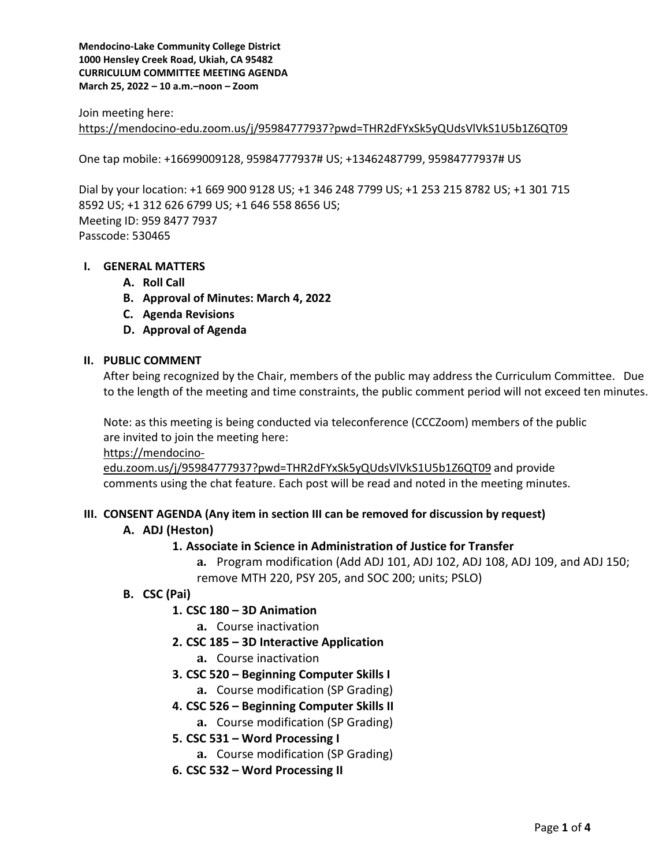Join meeting here:

<https://mendocino-edu.zoom.us/j/95984777937?pwd=THR2dFYxSk5yQUdsVlVkS1U5b1Z6QT09>

One tap mobile: +16699009128, 95984777937# US; +13462487799, 95984777937# US

Dial by your location: +1 669 900 9128 US; +1 346 248 7799 US; +1 253 215 8782 US; +1 301 715 8592 US; +1 312 626 6799 US; +1 646 558 8656 US; Meeting ID: 959 8477 7937 Passcode: 530465

# **I. GENERAL MATTERS**

- **A. Roll Call**
- **B. Approval of Minutes: March 4, 2022**
- **C. Agenda Revisions**
- **D. Approval of Agenda**

#### **II. PUBLIC COMMENT**

After being recognized by the Chair, members of the public may address the Curriculum Committee. Due to the length of the meeting and time constraints, the public comment period will not exceed ten minutes.

Note: as this meeting is being conducted via teleconference (CCCZoom) members of the public are invited to join the meeting here:

[https://mendocino-](https://mendocino-edu.zoom.us/j/95984777937?pwd=THR2dFYxSk5yQUdsVlVkS1U5b1Z6QT09)

[edu.zoom.us/j/95984777937?pwd=THR2dFYxSk5yQUdsVlVkS1U5b1Z6QT09](https://mendocino-edu.zoom.us/j/95984777937?pwd=THR2dFYxSk5yQUdsVlVkS1U5b1Z6QT09) and provide comments using the chat feature. Each post will be read and noted in the meeting minutes.

#### **III. CONSENT AGENDA (Any item in section III can be removed for discussion by request)**

#### **A. ADJ (Heston)**

# **1. Associate in Science in Administration of Justice for Transfer**

**a.** Program modification (Add ADJ 101, ADJ 102, ADJ 108, ADJ 109, and ADJ 150; remove MTH 220, PSY 205, and SOC 200; units; PSLO)

- **B. CSC (Pai)**
	- **1. CSC 180 – 3D Animation** 
		- **a.** Course inactivation
	- **2. CSC 185 – 3D Interactive Application**
		- **a.** Course inactivation
	- **3. CSC 520 – Beginning Computer Skills I**
		- **a.** Course modification (SP Grading)
	- **4. CSC 526 – Beginning Computer Skills II**
		- **a.** Course modification (SP Grading)
	- **5. CSC 531 – Word Processing I**
		- **a.** Course modification (SP Grading)
	- **6. CSC 532 – Word Processing II**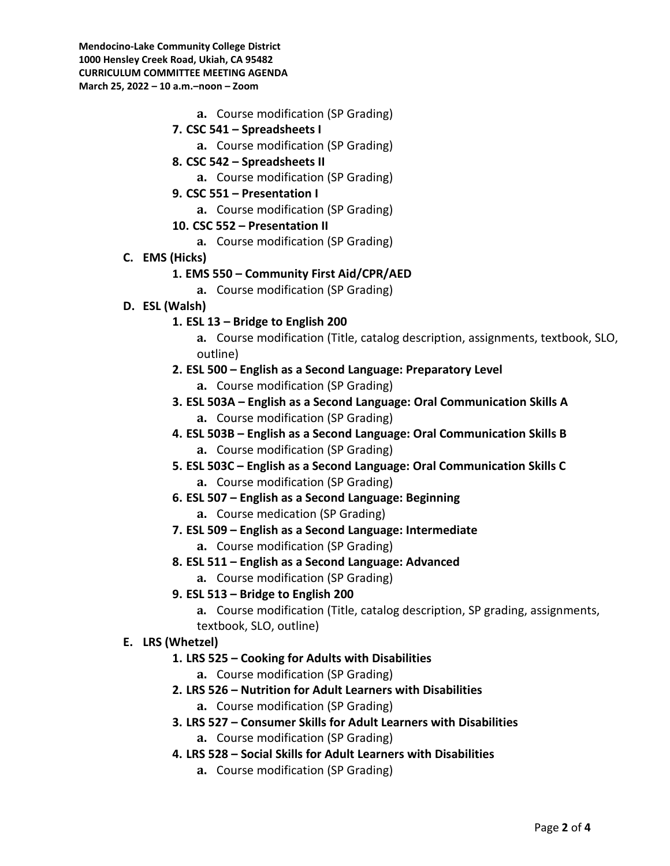- **a.** Course modification (SP Grading)
- **7. CSC 541 – Spreadsheets I**
	- **a.** Course modification (SP Grading)
- **8. CSC 542 – Spreadsheets II**
	- **a.** Course modification (SP Grading)
- **9. CSC 551 – Presentation I**
	- **a.** Course modification (SP Grading)
- **10. CSC 552 – Presentation II**
	- **a.** Course modification (SP Grading)
- **C. EMS (Hicks)**

# **1. EMS 550 – Community First Aid/CPR/AED**

- **a.** Course modification (SP Grading)
- **D. ESL (Walsh)**

# **1. ESL 13 – Bridge to English 200**

- **a.** Course modification (Title, catalog description, assignments, textbook, SLO, outline)
- **2. ESL 500 – English as a Second Language: Preparatory Level**
	- **a.** Course modification (SP Grading)
- **3. ESL 503A – English as a Second Language: Oral Communication Skills A a.** Course modification (SP Grading)
- **4. ESL 503B – English as a Second Language: Oral Communication Skills B a.** Course modification (SP Grading)
- **5. ESL 503C – English as a Second Language: Oral Communication Skills C a.** Course modification (SP Grading)
- **6. ESL 507 – English as a Second Language: Beginning** 
	- **a.** Course medication (SP Grading)
- **7. ESL 509 – English as a Second Language: Intermediate**
	- **a.** Course modification (SP Grading)
- **8. ESL 511 – English as a Second Language: Advanced**
	- **a.** Course modification (SP Grading)
- **9. ESL 513 – Bridge to English 200**
	- **a.** Course modification (Title, catalog description, SP grading, assignments, textbook, SLO, outline)

# **E. LRS (Whetzel)**

- **1. LRS 525 – Cooking for Adults with Disabilities**
	- **a.** Course modification (SP Grading)
- **2. LRS 526 – Nutrition for Adult Learners with Disabilities**
	- **a.** Course modification (SP Grading)
- **3. LRS 527 – Consumer Skills for Adult Learners with Disabilities a.** Course modification (SP Grading)
- **4. LRS 528 – Social Skills for Adult Learners with Disabilities**
	- **a.** Course modification (SP Grading)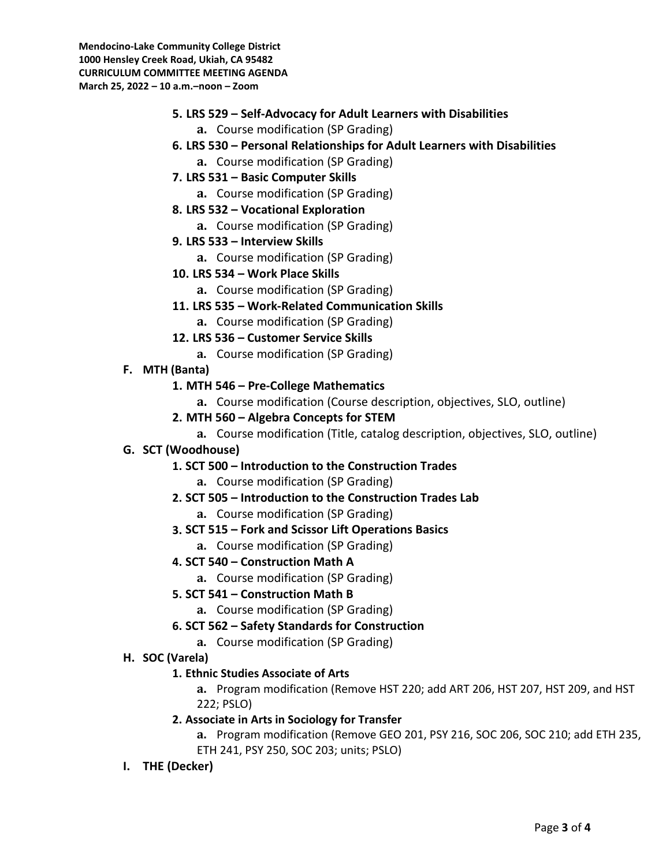- **5. LRS 529 – Self-Advocacy for Adult Learners with Disabilities**
	- **a.** Course modification (SP Grading)
- **6. LRS 530 – Personal Relationships for Adult Learners with Disabilities**
	- **a.** Course modification (SP Grading)
- **7. LRS 531 – Basic Computer Skills**
	- **a.** Course modification (SP Grading)
- **8. LRS 532 – Vocational Exploration**
	- **a.** Course modification (SP Grading)
- **9. LRS 533 – Interview Skills**
	- **a.** Course modification (SP Grading)
- **10. LRS 534 – Work Place Skills**
	- **a.** Course modification (SP Grading)
- **11. LRS 535 – Work-Related Communication Skills**
	- **a.** Course modification (SP Grading)
- **12. LRS 536 – Customer Service Skills**
	- **a.** Course modification (SP Grading)
- **F. MTH (Banta)**
	- **1. MTH 546 – Pre-College Mathematics**
		- **a.** Course modification (Course description, objectives, SLO, outline)
	- **2. MTH 560 – Algebra Concepts for STEM**
		- **a.** Course modification (Title, catalog description, objectives, SLO, outline)
- **G. SCT (Woodhouse)**
	- **1. SCT 500 – Introduction to the Construction Trades**
		- **a.** Course modification (SP Grading)
	- **2. SCT 505 – Introduction to the Construction Trades Lab**
		- **a.** Course modification (SP Grading)
	- **3. SCT 515 – Fork and Scissor Lift Operations Basics**
		- **a.** Course modification (SP Grading)
	- **4. SCT 540 – Construction Math A**
		- **a.** Course modification (SP Grading)
	- **5. SCT 541 – Construction Math B**
		- **a.** Course modification (SP Grading)
	- **6. SCT 562 – Safety Standards for Construction**
		- **a.** Course modification (SP Grading)
- **H. SOC (Varela)** 
	- **1. Ethnic Studies Associate of Arts**

**a.** Program modification (Remove HST 220; add ART 206, HST 207, HST 209, and HST 222; PSLO)

**2. Associate in Arts in Sociology for Transfer**

**a.** Program modification (Remove GEO 201, PSY 216, SOC 206, SOC 210; add ETH 235, ETH 241, PSY 250, SOC 203; units; PSLO)

**I. THE (Decker)**